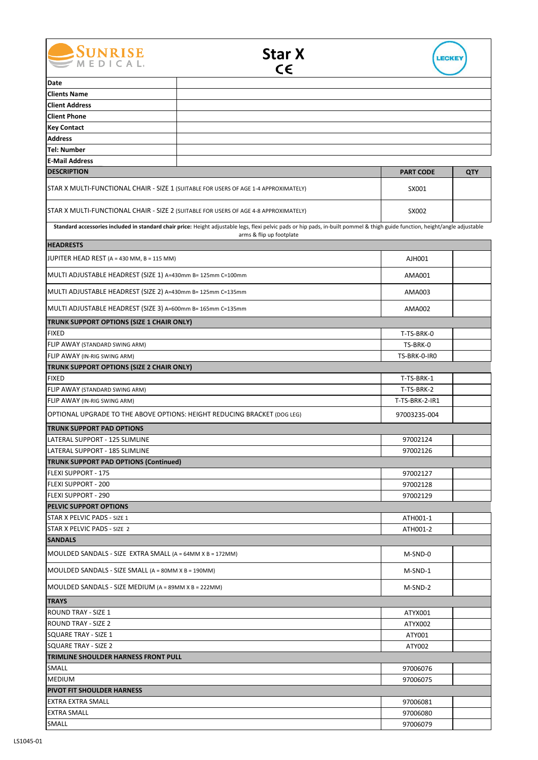





| Date                                                                                 |                                                                                                                                                                                                           |                  |     |
|--------------------------------------------------------------------------------------|-----------------------------------------------------------------------------------------------------------------------------------------------------------------------------------------------------------|------------------|-----|
| <b>Clients Name</b>                                                                  |                                                                                                                                                                                                           |                  |     |
| <b>Client Address</b>                                                                |                                                                                                                                                                                                           |                  |     |
| <b>Client Phone</b>                                                                  |                                                                                                                                                                                                           |                  |     |
| <b>Key Contact</b>                                                                   |                                                                                                                                                                                                           |                  |     |
| <b>Address</b>                                                                       |                                                                                                                                                                                                           |                  |     |
| <b>Tel: Number</b>                                                                   |                                                                                                                                                                                                           |                  |     |
| <b>E-Mail Address</b>                                                                |                                                                                                                                                                                                           |                  |     |
| <b>DESCRIPTION</b>                                                                   |                                                                                                                                                                                                           | <b>PART CODE</b> | QTY |
| STAR X MULTI-FUNCTIONAL CHAIR - SIZE 1 (SUITABLE FOR USERS OF AGE 1-4 APPROXIMATELY) |                                                                                                                                                                                                           | SX001            |     |
| STAR X MULTI-FUNCTIONAL CHAIR - SIZE 2 (SUITABLE FOR USERS OF AGE 4-8 APPROXIMATELY) |                                                                                                                                                                                                           | SX002            |     |
|                                                                                      | Standard accessories included in standard chair price: Height adjustable legs, flexi pelvic pads or hip pads, in-built pommel & thigh guide function, height/angle adjustable<br>arms & flip up footplate |                  |     |
| <b>HEADRESTS</b>                                                                     |                                                                                                                                                                                                           |                  |     |
| JUPITER HEAD REST (A = 430 MM, B = 115 MM)                                           | AJH001                                                                                                                                                                                                    |                  |     |
| MULTI ADJUSTABLE HEADREST (SIZE 1) A=430mm B= 125mm C=100mm                          |                                                                                                                                                                                                           | AMA001           |     |
| MULTI ADJUSTABLE HEADREST (SIZE 2) A=430mm B= 125mm C=135mm                          |                                                                                                                                                                                                           | AMA003           |     |
| MULTI ADJUSTABLE HEADREST (SIZE 3) A=600mm B= 165mm C=135mm                          |                                                                                                                                                                                                           | AMA002           |     |
| TRUNK SUPPORT OPTIONS (SIZE 1 CHAIR ONLY)                                            |                                                                                                                                                                                                           |                  |     |
| <b>FIXED</b>                                                                         |                                                                                                                                                                                                           | T-TS-BRK-0       |     |
| FLIP AWAY (STANDARD SWING ARM)                                                       |                                                                                                                                                                                                           | TS-BRK-0         |     |
| FLIP AWAY (IN-RIG SWING ARM)                                                         |                                                                                                                                                                                                           | TS-BRK-0-IRO     |     |
| TRUNK SUPPORT OPTIONS (SIZE 2 CHAIR ONLY)                                            |                                                                                                                                                                                                           |                  |     |
| <b>FIXED</b>                                                                         |                                                                                                                                                                                                           | T-TS-BRK-1       |     |
| FLIP AWAY (STANDARD SWING ARM)                                                       |                                                                                                                                                                                                           | T-TS-BRK-2       |     |
| FLIP AWAY (IN-RIG SWING ARM)                                                         |                                                                                                                                                                                                           | T-TS-BRK-2-IR1   |     |
| OPTIONAL UPGRADE TO THE ABOVE OPTIONS: HEIGHT REDUCING BRACKET (DOG LEG)             |                                                                                                                                                                                                           | 97003235-004     |     |
| <b>TRUNK SUPPORT PAD OPTIONS</b>                                                     |                                                                                                                                                                                                           |                  |     |
| LATERAL SUPPORT - 125 SLIMLINE                                                       |                                                                                                                                                                                                           | 97002124         |     |
| LATERAL SUPPORT - 185 SLIMLINE                                                       |                                                                                                                                                                                                           | 97002126         |     |
| <b>TRUNK SUPPORT PAD OPTIONS (Continued)</b>                                         |                                                                                                                                                                                                           |                  |     |
| FLEXI SUPPORT - 175                                                                  |                                                                                                                                                                                                           | 97002127         |     |
| FLEXI SUPPORT - 200                                                                  |                                                                                                                                                                                                           | 97002128         |     |
| FLEXI SUPPORT - 290                                                                  | 97002129                                                                                                                                                                                                  |                  |     |
| <b>PELVIC SUPPORT OPTIONS</b>                                                        |                                                                                                                                                                                                           |                  |     |
| STAR X PELVIC PADS - SIZE 1                                                          |                                                                                                                                                                                                           | ATH001-1         |     |
| STAR X PELVIC PADS - SIZE 2                                                          |                                                                                                                                                                                                           | ATH001-2         |     |
| <b>SANDALS</b>                                                                       |                                                                                                                                                                                                           |                  |     |
| MOULDED SANDALS - SIZE EXTRA SMALL (A = 64MM X B = 172MM)                            |                                                                                                                                                                                                           | M-SND-0          |     |
| MOULDED SANDALS - SIZE SMALL (A = 80MM X B = 190MM)                                  |                                                                                                                                                                                                           | M-SND-1          |     |
| MOULDED SANDALS - SIZE MEDIUM (A = 89MM X B = 222MM)                                 |                                                                                                                                                                                                           | M-SND-2          |     |
| <b>TRAYS</b>                                                                         |                                                                                                                                                                                                           |                  |     |
| ROUND TRAY - SIZE 1                                                                  |                                                                                                                                                                                                           | ATYX001          |     |
| <b>ROUND TRAY - SIZE 2</b>                                                           |                                                                                                                                                                                                           | ATYX002          |     |
| <b>SQUARE TRAY - SIZE 1</b>                                                          |                                                                                                                                                                                                           | ATY001           |     |
| <b>SQUARE TRAY - SIZE 2</b>                                                          |                                                                                                                                                                                                           | ATY002           |     |
| TRIMLINE SHOULDER HARNESS FRONT PULL                                                 |                                                                                                                                                                                                           |                  |     |
| SMALL                                                                                | 97006076                                                                                                                                                                                                  |                  |     |
| <b>MEDIUM</b>                                                                        |                                                                                                                                                                                                           | 97006075         |     |
| <b>PIVOT FIT SHOULDER HARNESS</b>                                                    |                                                                                                                                                                                                           |                  |     |
| <b>EXTRA EXTRA SMALL</b>                                                             |                                                                                                                                                                                                           | 97006081         |     |
| <b>EXTRA SMALL</b>                                                                   |                                                                                                                                                                                                           | 97006080         |     |
| SMALL                                                                                |                                                                                                                                                                                                           | 97006079         |     |